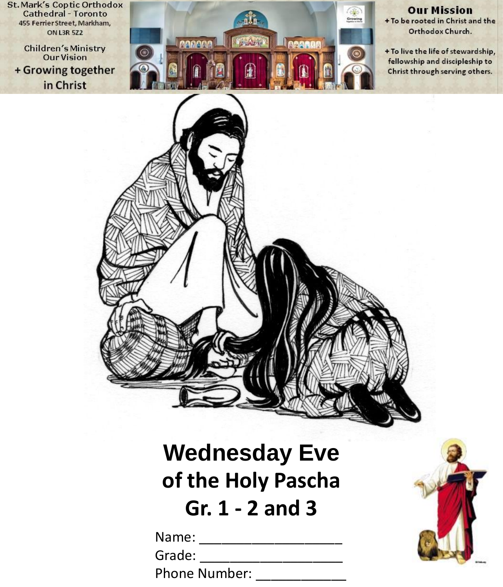**St. Mark's Coptic Orthodox Cathedral - Toronto** 455 Ferrier Street, Markham, **ON L3R 5Z2** 

**Children's Ministry Our Vision** + Growing together in Christ



**Our Mission** + To be rooted in Christ and the Orthodox Church.

+ To live the life of stewardship, fellowship and discipleship to Christ through serving others.



# **Wednesday Eve of the Holy Pascha Gr. 1 - 2 and 3**

Name: \_\_\_\_\_\_\_\_\_\_\_\_\_\_\_\_\_\_\_

Grade: \_\_\_\_\_\_\_\_\_\_\_\_\_\_\_\_\_\_\_

Phone Number:

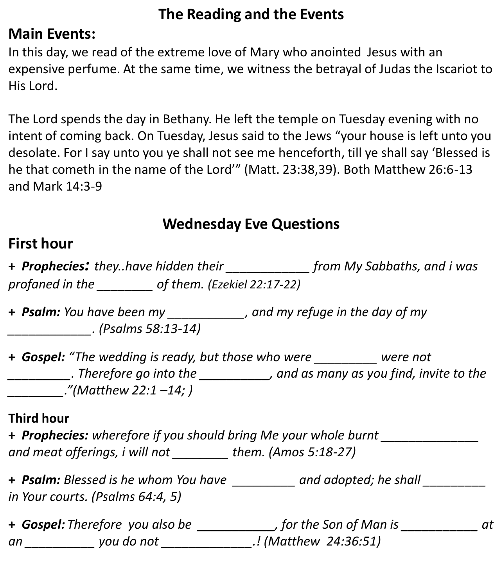# **The Reading and the Events**

#### **Main Events:**

In this day, we read of the extreme love of Mary who anointed Jesus with an expensive perfume. At the same time, we witness the betrayal of Judas the Iscariot to His Lord.

The Lord spends the day in Bethany. He left the temple on Tuesday evening with no intent of coming back. On Tuesday, Jesus said to the Jews "your house is left unto you desolate. For I say unto you ye shall not see me henceforth, till ye shall say 'Blessed is he that cometh in the name of the Lord'" (Matt. 23:38,39). Both Matthew 26:6-13 and Mark 14:3-9

## **Wednesday Eve Questions**

### **First hour**

**+** *Prophecies: they..have hidden their \_\_\_\_\_\_\_\_\_\_\_\_ from My Sabbaths, and i was profaned in the \_\_\_\_\_\_\_\_ of them. (Ezekiel 22:17-22)*

**+** *Psalm: You have been my \_\_\_\_\_\_\_\_\_\_\_, and my refuge in the day of my \_\_\_\_\_\_\_\_\_\_\_\_. (Psalms 58:13-14)*

**+** *Gospel: "The wedding is ready, but those who were \_\_\_\_\_\_\_\_\_ were not \_\_\_\_\_\_\_\_\_. Therefore go into the \_\_\_\_\_\_\_\_\_\_, and as many as you find, invite to the \_\_\_\_\_\_\_\_."(Matthew 22:1 –14; )*

#### **Third hour**

**+** *Prophecies: wherefore if you should bring Me your whole burnt \_\_\_\_\_\_\_\_\_\_\_\_\_\_ and meat offerings, i will not \_\_\_\_\_\_\_\_ them. (Amos 5:18-27)*

**+** *Psalm: Blessed is he whom You have \_\_\_\_\_\_\_\_\_ and adopted; he shall \_\_\_\_\_\_\_\_\_ in Your courts. (Psalms 64:4, 5)*

|    | + Gospel: Therefore you also be | , for the Son of Man is  |  |
|----|---------------------------------|--------------------------|--|
| an | you do not                      | .! (Matthew 24:36:51) !. |  |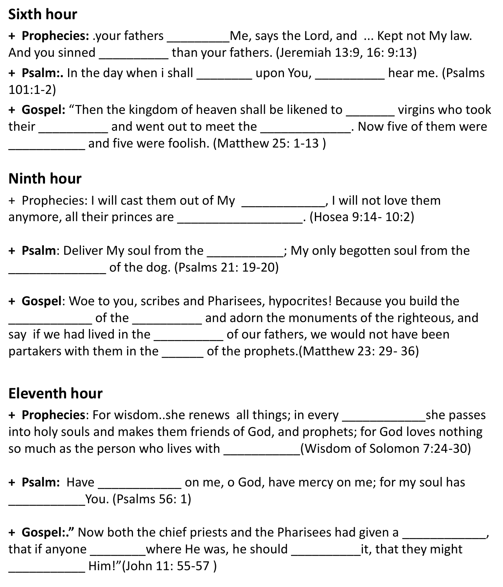### **Sixth hour**

**+ Prophecies:** .your fathers \_\_\_\_\_\_\_\_\_Me, says the Lord, and ... Kept not My law. And you sinned than your fathers. (Jeremiah 13:9, 16: 9:13) **+ Psalm:.** In the day when i shall \_\_\_\_\_\_\_\_ upon You, \_\_\_\_\_\_\_\_\_\_ hear me. (Psalms 101:1-2) **+ Gospel:** "Then the kingdom of heaven shall be likened to \_\_\_\_\_\_\_ virgins who took their and went out to meet the Theorem 2011. Now five of them were and five were foolish. (Matthew 25: 1-13)

#### **Ninth hour**

+ Prophecies: I will cast them out of My \_\_\_\_\_\_\_\_\_\_\_\_, I will not love them anymore, all their princes are \_\_\_\_\_\_\_\_\_\_\_\_\_\_\_\_\_\_. (Hosea 9:14- 10:2)

**+ Psalm**: Deliver My soul from the \_\_\_\_\_\_\_\_\_\_\_; My only begotten soul from the  $\sigma$  of the dog. (Psalms 21: 19-20)

**+ Gospel**: Woe to you, scribes and Pharisees, hypocrites! Because you build the \_\_\_\_\_\_\_\_\_\_\_\_ of the \_\_\_\_\_\_\_\_\_\_ and adorn the monuments of the righteous, and say if we had lived in the \_\_\_\_\_\_\_\_\_\_\_ of our fathers, we would not have been partakers with them in the of the prophets.(Matthew 23: 29- 36)

### **Eleventh hour**

**+ Prophecies**: For wisdom..she renews all things; in every \_\_\_\_\_\_\_\_\_\_\_\_she passes into holy souls and makes them friends of God, and prophets; for God loves nothing so much as the person who lives with  $(Wisdom of Solomon 7:24-30)$ 

**+ Psalm:** Have \_\_\_\_\_\_\_\_\_\_\_\_ on me, o God, have mercy on me; for my soul has \_\_\_\_\_\_\_\_\_\_\_You. (Psalms 56: 1)

**+ Gospel:."** Now both the chief priests and the Pharisees had given a \_\_\_\_\_\_\_\_\_\_\_\_, that if anyone where He was, he should it, that they might \_\_\_\_\_\_\_\_\_\_\_ Him!"(John 11: 55-57 )